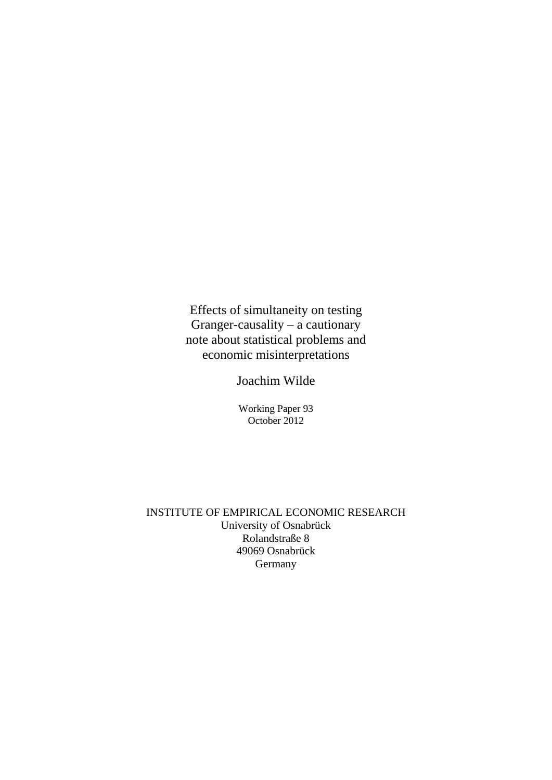Effects of simultaneity on testing Granger-causality – a cautionary note about statistical problems and economic misinterpretations

Joachim Wilde

Working Paper 93 October 2012

INSTITUTE OF EMPIRICAL ECONOMIC RESEARCH University of Osnabrück Rolandstraße 8 49069 Osnabrück Germany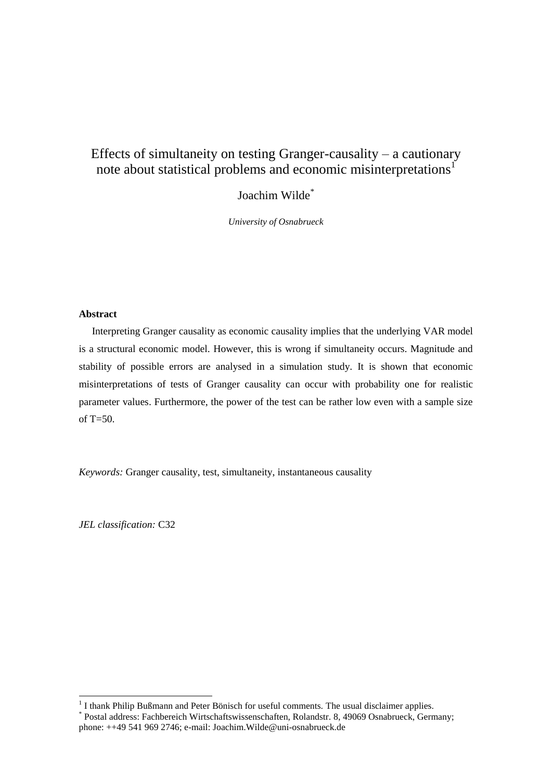# Effects of simultaneity on testing Granger-causality – a cautionary note about statistical problems and economic misinterpretations<sup>1</sup>

Joachim Wilde\*

*University of Osnabrueck*

# **Abstract**

Interpreting Granger causality as economic causality implies that the underlying VAR model is a structural economic model. However, this is wrong if simultaneity occurs. Magnitude and stability of possible errors are analysed in a simulation study. It is shown that economic misinterpretations of tests of Granger causality can occur with probability one for realistic parameter values. Furthermore, the power of the test can be rather low even with a sample size of T=50.

*Keywords:* Granger causality, test, simultaneity, instantaneous causality

*JEL classification:* C32

1

<sup>&</sup>lt;sup>1</sup> I thank Philip Bußmann and Peter Bönisch for useful comments. The usual disclaimer applies.

<sup>\*</sup> Postal address: Fachbereich Wirtschaftswissenschaften, Rolandstr. 8, 49069 Osnabrueck, Germany; phone: ++49 541 969 2746; e-mail: Joachim.Wilde@uni-osnabrueck.de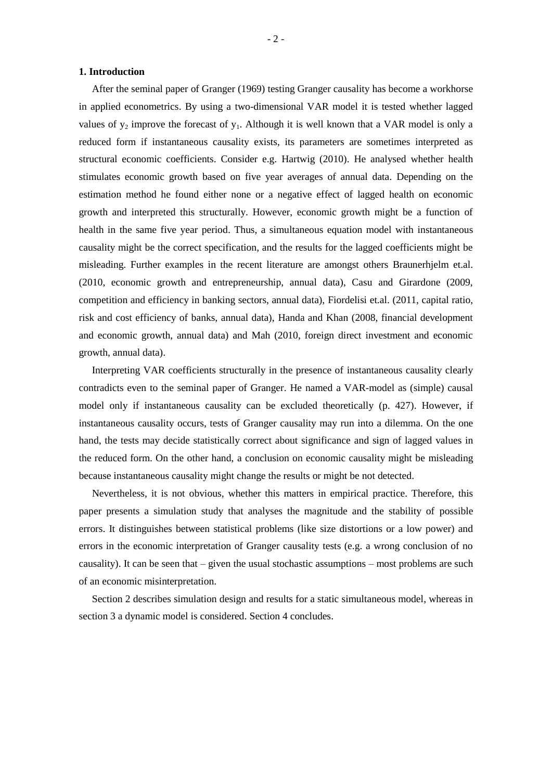#### **1. Introduction**

After the seminal paper of Granger (1969) testing Granger causality has become a workhorse in applied econometrics. By using a two-dimensional VAR model it is tested whether lagged values of  $y_2$  improve the forecast of  $y_1$ . Although it is well known that a VAR model is only a reduced form if instantaneous causality exists, its parameters are sometimes interpreted as structural economic coefficients. Consider e.g. Hartwig (2010). He analysed whether health stimulates economic growth based on five year averages of annual data. Depending on the estimation method he found either none or a negative effect of lagged health on economic growth and interpreted this structurally. However, economic growth might be a function of health in the same five year period. Thus, a simultaneous equation model with instantaneous causality might be the correct specification, and the results for the lagged coefficients might be misleading. Further examples in the recent literature are amongst others Braunerhjelm et.al. (2010, economic growth and entrepreneurship, annual data), Casu and Girardone (2009, competition and efficiency in banking sectors, annual data), Fiordelisi et.al. (2011, capital ratio, risk and cost efficiency of banks, annual data), Handa and Khan (2008, financial development and economic growth, annual data) and Mah (2010, foreign direct investment and economic growth, annual data).

Interpreting VAR coefficients structurally in the presence of instantaneous causality clearly contradicts even to the seminal paper of Granger. He named a VAR-model as (simple) causal model only if instantaneous causality can be excluded theoretically (p. 427). However, if instantaneous causality occurs, tests of Granger causality may run into a dilemma. On the one hand, the tests may decide statistically correct about significance and sign of lagged values in the reduced form. On the other hand, a conclusion on economic causality might be misleading because instantaneous causality might change the results or might be not detected.

Nevertheless, it is not obvious, whether this matters in empirical practice. Therefore, this paper presents a simulation study that analyses the magnitude and the stability of possible errors. It distinguishes between statistical problems (like size distortions or a low power) and errors in the economic interpretation of Granger causality tests (e.g. a wrong conclusion of no causality). It can be seen that  $-$  given the usual stochastic assumptions  $-$  most problems are such of an economic misinterpretation.

Section 2 describes simulation design and results for a static simultaneous model, whereas in section 3 a dynamic model is considered. Section 4 concludes.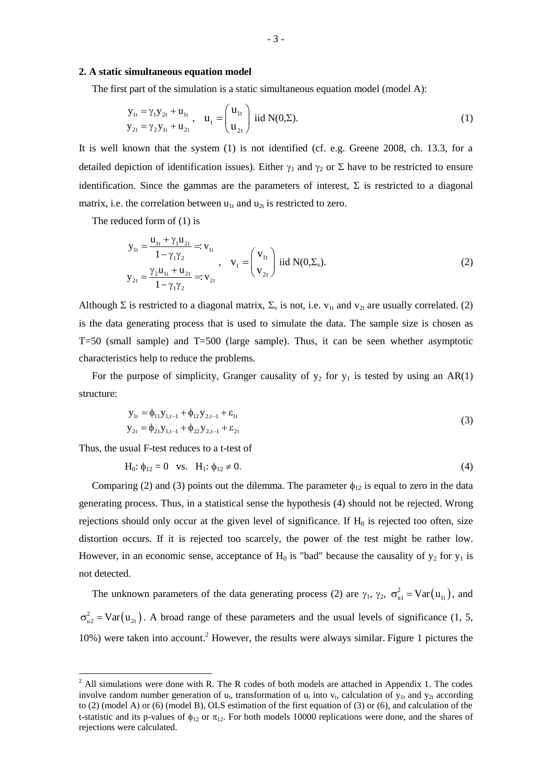#### **2. A static simultaneous equation model**

The first part of the simulation is a static simultaneous equation model (model A):

$$
y_{1t} = \gamma_1 y_{2t} + u_{1t} \n y_{2t} = \gamma_2 y_{1t} + u_{2t}, \quad u_t = \begin{pmatrix} u_{1t} \\ u_{2t} \end{pmatrix} \text{ iid } N(0, \Sigma).
$$
\n(1)

It is well known that the system (1) is not identified (cf. e.g. Greene 2008, ch. 13.3, for a detailed depiction of identification issues). Either  $\gamma_1$  and  $\gamma_2$  or  $\Sigma$  have to be restricted to ensure identification. Since the gammas are the parameters of interest,  $\Sigma$  is restricted to a diagonal matrix, i.e. the correlation between  $u_{1t}$  and  $u_{2t}$  is restricted to zero.

The reduced form of (1) is

$$
y_{1t} = \frac{u_{1t} + \gamma_1 u_{2t}}{1 - \gamma_1 \gamma_2} =: v_{1t}
$$
  
\n
$$
y_{2t} = \frac{\gamma_2 u_{1t} + u_{2t}}{1 - \gamma_1 \gamma_2} =: v_{2t}, \qquad v_t = \begin{pmatrix} v_{1t} \\ v_{2t} \end{pmatrix} \text{ iid } N(0, \Sigma_v).
$$
 (2)

Although  $\Sigma$  is restricted to a diagonal matrix,  $\Sigma_{\rm v}$  is not, i.e.  $v_{1t}$  and  $v_{2t}$  are usually correlated. (2) is the data generating process that is used to simulate the data. The sample size is chosen as T=50 (small sample) and T=500 (large sample). Thus, it can be seen whether asymptotic characteristics help to reduce the problems.

For the purpose of simplicity, Granger causality of  $y_2$  for  $y_1$  is tested by using an AR(1) structure:

$$
y_{1t} = \phi_{11} y_{1,t-1} + \phi_{12} y_{2,t-1} + \varepsilon_{1t}
$$
  
\n
$$
y_{2t} = \phi_{21} y_{1,t-1} + \phi_{22} y_{2,t-1} + \varepsilon_{2t}
$$
\n(3)

Thus, the usual F-test reduces to a t-test of

<u>.</u>

$$
H_0: \phi_{12} = 0 \text{ vs. } H_1: \phi_{12} \neq 0. \tag{4}
$$

Comparing (2) and (3) points out the dilemma. The parameter  $\phi_{12}$  is equal to zero in the data generating process. Thus, in a statistical sense the hypothesis (4) should not be rejected. Wrong rejections should only occur at the given level of significance. If  $H_0$  is rejected too often, size distortion occurs. If it is rejected too scarcely, the power of the test might be rather low. However, in an economic sense, acceptance of  $H_0$  is "bad" because the causality of  $y_2$  for  $y_1$  is not detected.

The unknown parameters of the data generating process (2) are  $\gamma_1$ ,  $\gamma_2$ ,  $\sigma_{ul}^2 = \text{Var}(u_{lt})$ , and  $\sigma_{u2}^2$  = Var( $u_{2t}$ ). A broad range of these parameters and the usual levels of significance (1, 5,  $10\%$ ) were taken into account.<sup>2</sup> However, the results were always similar. Figure 1 pictures the

 $2$  All simulations were done with R. The R codes of both models are attached in Appendix 1. The codes involve random number generation of  $u_t$ , transformation of  $u_t$  into  $v_t$ , calculation of  $y_{1t}$  and  $y_{2t}$  according to (2) (model A) or (6) (model B), OLS estimation of the first equation of (3) or (6), and calculation of the t-statistic and its p-values of  $\phi_{12}$  or  $\pi_{12}$ . For both models 10000 replications were done, and the shares of rejections were calculated.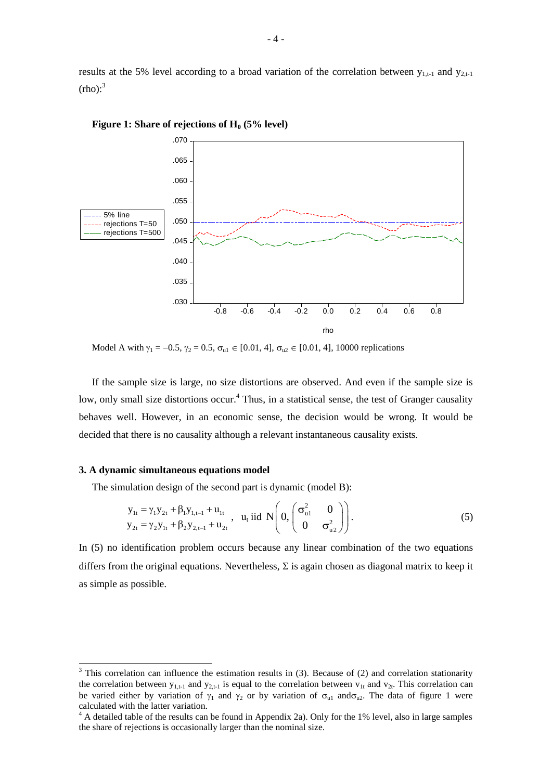results at the 5% level according to a broad variation of the correlation between  $y_{1,t-1}$  and  $y_{2,t-1}$  $(rho)$ :<sup>3</sup>



**Figure 1: Share of rejections of H<sup>0</sup> (5% level)**

Model A with  $\gamma_1 = -0.5$ ,  $\gamma_2 = 0.5$ ,  $\sigma_{u1} \in [0.01, 4]$ ,  $\sigma_{u2} \in [0.01, 4]$ , 10000 replications

If the sample size is large, no size distortions are observed. And even if the sample size is low, only small size distortions occur.<sup>4</sup> Thus, in a statistical sense, the test of Granger causality behaves well. However, in an economic sense, the decision would be wrong. It would be decided that there is no causality although a relevant instantaneous causality exists.

#### **3. A dynamic simultaneous equations model**

-

The simulation design of the second part is dynamic (model B):

$$
y_{1t} = \gamma_1 y_{2t} + \beta_1 y_{1,t-1} + u_{1t} y_{2t} = \gamma_2 y_{1t} + \beta_2 y_{2,t-1} + u_{2t} , \quad u_t \text{ iid } N\left(0, \begin{pmatrix} \sigma_{u1}^2 & 0 \\ 0 & \sigma_{u2}^2 \end{pmatrix}\right).
$$
 (5)

In (5) no identification problem occurs because any linear combination of the two equations differs from the original equations. Nevertheless,  $\Sigma$  is again chosen as diagonal matrix to keep it as simple as possible.

 $3$  This correlation can influence the estimation results in (3). Because of (2) and correlation stationarity the correlation between  $y_{1,t-1}$  and  $y_{2,t-1}$  is equal to the correlation between  $v_{1t}$  and  $v_{2t}$ . This correlation can be varied either by variation of  $\gamma_1$  and  $\gamma_2$  or by variation of  $\sigma_{u1}$  and  $\sigma_{u2}$ . The data of figure 1 were calculated with the latter variation.

<sup>&</sup>lt;sup>4</sup> A detailed table of the results can be found in Appendix 2a). Only for the 1% level, also in large samples the share of rejections is occasionally larger than the nominal size.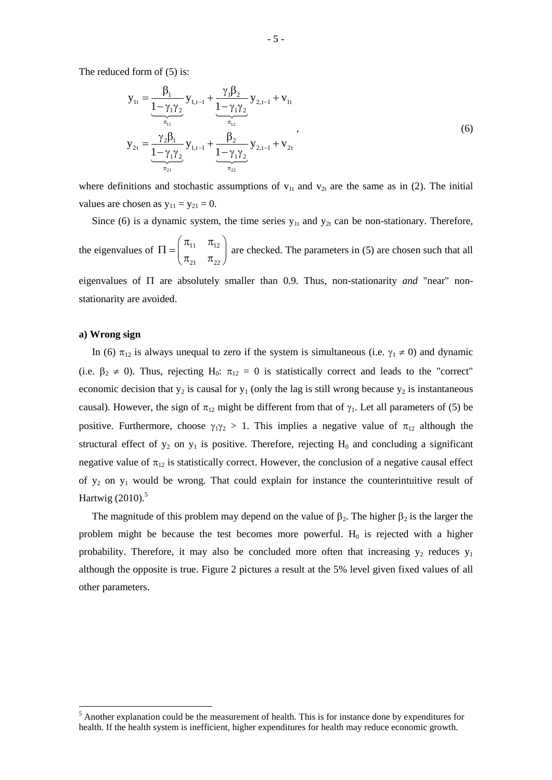The reduced form of (5) is:

$$
y_{1t} = \frac{\beta_1}{\frac{1 - \gamma_1 \gamma_2}{\pi_{11}}} y_{1,t-1} + \frac{\gamma_1 \beta_2}{\frac{1 - \gamma_1 \gamma_2}{\pi_{12}}} y_{2,t-1} + v_{1t}
$$
  

$$
y_{2t} = \frac{\gamma_2 \beta_1}{\frac{1 - \gamma_1 \gamma_2}{\pi_{21}}} y_{1,t-1} + \frac{\beta_2}{\frac{1 - \gamma_1 \gamma_2}{\pi_{22}}} y_{2,t-1} + v_{2t}
$$
 (6)

where definitions and stochastic assumptions of  $v_{1t}$  and  $v_{2t}$  are the same as in (2). The initial values are chosen as  $y_{11} = y_{21} = 0$ .

Since (6) is a dynamic system, the time series  $y_{1t}$  and  $y_{2t}$  can be non-stationary. Therefore, the eigenvalues of  $\Pi = \begin{vmatrix} n_{11} & n_{12} \\ n_{21} & n_{22} \end{vmatrix}$  $21 \t 22$  $\begin{pmatrix} \pi_{11} & \pi_{12} \end{pmatrix}$  $\Pi = \begin{pmatrix} n_{11} & n_{12} \\ \pi_{21} & \pi_{22} \end{pmatrix}$  are checked. The parameters in (5) are chosen such that all

eigenvalues of  $\Pi$  are absolutely smaller than 0.9. Thus, non-stationarity *and* "near" nonstationarity are avoided.

# **a) Wrong sign**

1

In (6)  $\pi_{12}$  is always unequal to zero if the system is simultaneous (i.e.  $\gamma_1 \neq 0$ ) and dynamic (i.e.  $\beta_2 \neq 0$ ). Thus, rejecting H<sub>0</sub>:  $\pi_{12} = 0$  is statistically correct and leads to the "correct" economic decision that  $y_2$  is causal for  $y_1$  (only the lag is still wrong because  $y_2$  is instantaneous causal). However, the sign of  $\pi_{12}$  might be different from that of  $\gamma_1$ . Let all parameters of (5) be positive. Furthermore, choose  $\gamma_1 \gamma_2 > 1$ . This implies a negative value of  $\pi_{12}$  although the structural effect of  $y_2$  on  $y_1$  is positive. Therefore, rejecting  $H_0$  and concluding a significant negative value of  $\pi_{12}$  is statistically correct. However, the conclusion of a negative causal effect of  $y_2$  on  $y_1$  would be wrong. That could explain for instance the counterintuitive result of Hartwig (2010).<sup>5</sup>

The magnitude of this problem may depend on the value of  $\beta_2$ . The higher  $\beta_2$  is the larger the problem might be because the test becomes more powerful.  $H_0$  is rejected with a higher probability. Therefore, it may also be concluded more often that increasing  $y_2$  reduces  $y_1$ although the opposite is true. Figure 2 pictures a result at the 5% level given fixed values of all other parameters.

<sup>&</sup>lt;sup>5</sup> Another explanation could be the measurement of health. This is for instance done by expenditures for health. If the health system is inefficient, higher expenditures for health may reduce economic growth.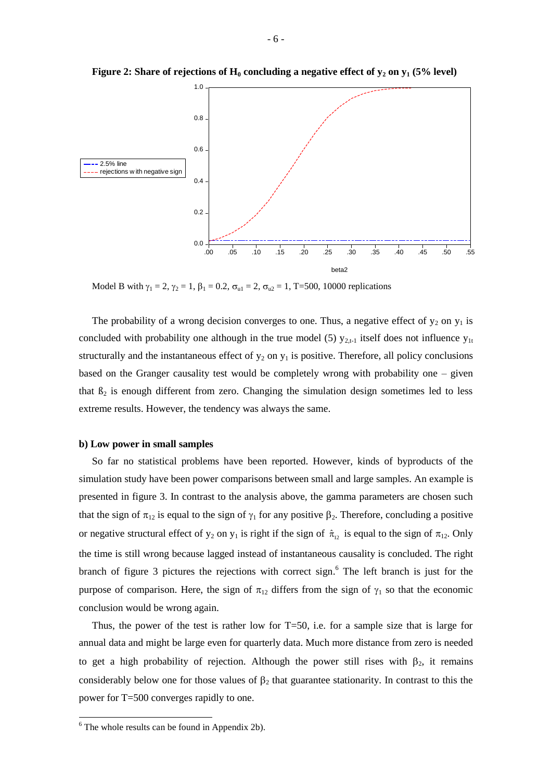

**Figure 2: Share of rejections of**  $H_0$  **concluding a negative effect of**  $y_2$  **on**  $y_1$  **(5% level)** 

Model B with  $\gamma_1 = 2$ ,  $\gamma_2 = 1$ ,  $\beta_1 = 0.2$ ,  $\sigma_{u1} = 2$ ,  $\sigma_{u2} = 1$ , T=500, 10000 replications

The probability of a wrong decision converges to one. Thus, a negative effect of  $y_2$  on  $y_1$  is concluded with probability one although in the true model (5)  $y_{2,t-1}$  itself does not influence  $y_{1t}$ structurally and the instantaneous effect of  $y_2$  on  $y_1$  is positive. Therefore, all policy conclusions based on the Granger causality test would be completely wrong with probability one – given that  $\beta_2$  is enough different from zero. Changing the simulation design sometimes led to less extreme results. However, the tendency was always the same.

#### **b) Low power in small samples**

So far no statistical problems have been reported. However, kinds of byproducts of the simulation study have been power comparisons between small and large samples. An example is presented in figure 3. In contrast to the analysis above, the gamma parameters are chosen such that the sign of  $\pi_{12}$  is equal to the sign of  $\gamma_1$  for any positive  $\beta_2$ . Therefore, concluding a positive or negative structural effect of  $y_2$  on  $y_1$  is right if the sign of  $\hat{\pi}_{12}$  is equal to the sign of  $\pi_{12}$ . Only the time is still wrong because lagged instead of instantaneous causality is concluded. The right branch of figure 3 pictures the rejections with correct sign. <sup>6</sup> The left branch is just for the purpose of comparison. Here, the sign of  $\pi_{12}$  differs from the sign of  $\gamma_1$  so that the economic conclusion would be wrong again.

Thus, the power of the test is rather low for T=50, i.e. for a sample size that is large for annual data and might be large even for quarterly data. Much more distance from zero is needed to get a high probability of rejection. Although the power still rises with  $\beta_2$ , it remains considerably below one for those values of  $\beta_2$  that guarantee stationarity. In contrast to this the power for T=500 converges rapidly to one.

-

 $6$  The whole results can be found in Appendix 2b).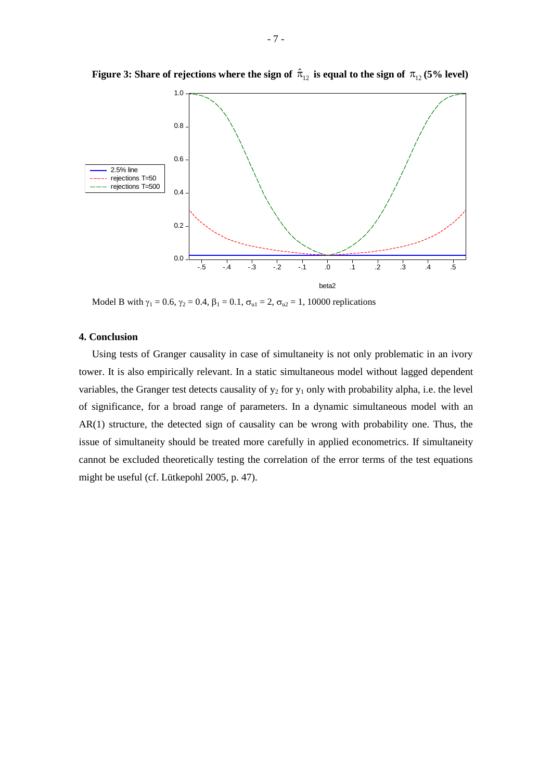

Figure 3: Share of rejections where the sign of  $\hat{\pi}_{12}$  is equal to the sign of  $\pi_{12}$  (5% level)

Model B with  $\gamma_1 = 0.6$ ,  $\gamma_2 = 0.4$ ,  $\beta_1 = 0.1$ ,  $\sigma_{u1} = 2$ ,  $\sigma_{u2} = 1$ , 10000 replications

### **4. Conclusion**

Using tests of Granger causality in case of simultaneity is not only problematic in an ivory tower. It is also empirically relevant. In a static simultaneous model without lagged dependent variables, the Granger test detects causality of  $y_2$  for  $y_1$  only with probability alpha, i.e. the level of significance, for a broad range of parameters. In a dynamic simultaneous model with an AR(1) structure, the detected sign of causality can be wrong with probability one. Thus, the issue of simultaneity should be treated more carefully in applied econometrics. If simultaneity cannot be excluded theoretically testing the correlation of the error terms of the test equations might be useful (cf. Lütkepohl 2005, p. 47).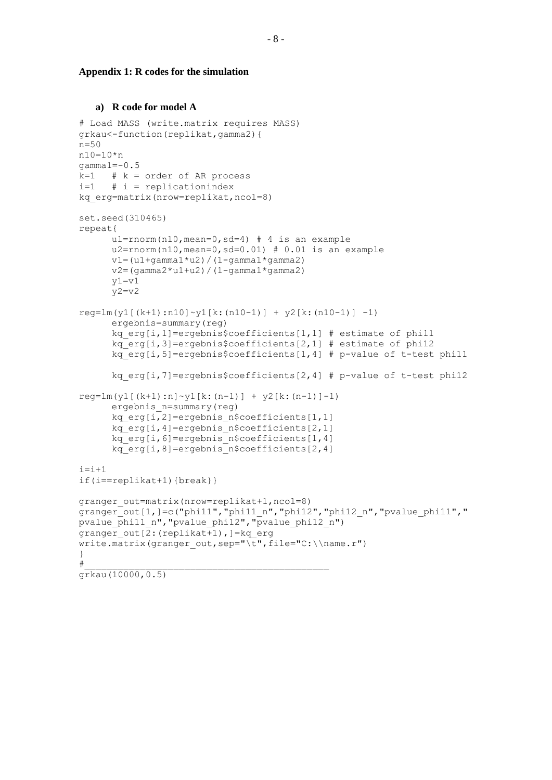#### **Appendix 1: R codes for the simulation**

# **a) R code for model A**

```
# Load MASS (write.matrix requires MASS)
grkau<-function(replikat,gamma2){
n=50
n10=10*n
qamma1=-0.5k=1 # k = order of AR process
i=1 # i = replicationindex
kq_erg=matrix(nrow=replikat,ncol=8)
set.seed(310465)
repeat{
     u1=rnorm(n10,mean=0,sd=4) # 4 is an example
     u2=rnorm(n10, mean=0, sd=0.01) # 0.01 is an example
     v1=(u1+qamma1*u2)/(1-qamma1*qamma2)v2 = (gamma2 * u1 + u2) / (1 - gamma1 * gamma2)v1=v1y2=y2reg=lm(y1[(k+1):n10]~y1[k:(n10-1)] ~+~ y2[k:(n10-1)] ~-1)ergebnis=summary(reg)
      kq_erg[i,1]=ergebnis$coefficients[1,1] # estimate of phi11
      kq erg[i,3]=ergebnis$coefficients[2,1] # estimate of phi12
     kq erg[i,5]=ergebnis$coefficients[1,4] # p-value of t-test phill
     kq erg[i,7]=ergebnis$coefficients[2,4] # p-value of t-test phil2
reg=lm(y1[(k+1):n]~y1[k:(n-1)] ~+~ y2[k:(n-1)]-1)ergebnis_n=summary(reg)
      kq_erg[i,2]=ergebnis_n$coefficients[1,1] 
     kq erg[i,4]=ergebnis n$coefficients[2,1]
     kq erg[i,6]=ergebnis n$coefficients[1,4]
     kq erg[i,8]=ergebnis n$coefficients[2,4]
i=i+1if(i==replikat+1){break}}
granger_out=matrix(nrow=replikat+1,ncol=8)
granger_out[1,]=c("phi11","phi11_n","phi12","phi12_n","pvalue_phi11","
pvalue phi11 n", "pvalue phi12", "pvalue phi12 n")
granger out [2: (replikat+1), ]=kq erg
write.matrix(granger out, sep="\t", file="C:\\name.r")
}
\#grkau(10000,0.5)
```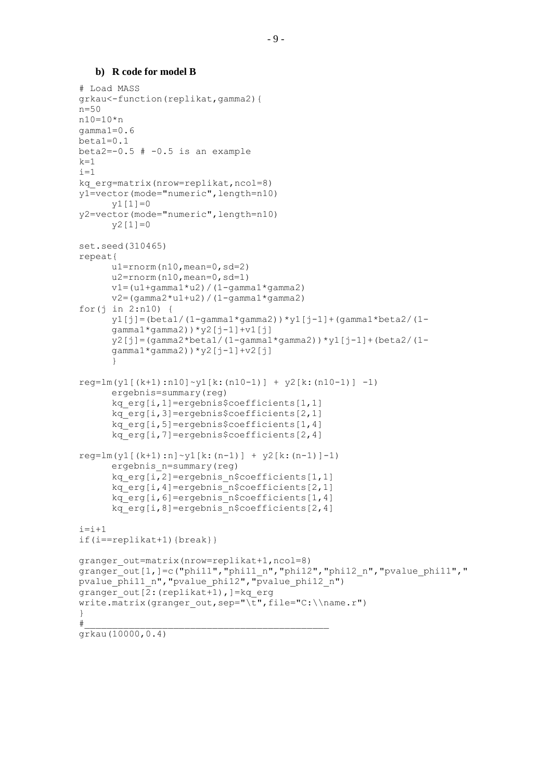# **b) R code for model B**

```
# Load MASS
grkau<-function(replikat,gamma2){
n=50
n10=10*n
gamma1=0.6
beta1=0.1
beta2=-0.5 # -0.5 is an example
k=1i=1kq_erg=matrix(nrow=replikat,ncol=8)
y1=vector(mode="numeric",length=n10) 
      y1[1]=0y2=vector(mode="numeric",length=n10) 
      y2[1]=0
set.seed(310465)
repeat{
      u1=rnorm(n10, mean=0, sd=2)
      u2=rnorm(n10,mean=0,sd=1)
      v1=(u1+qamma1*u2)/(1-qamma1*qamma2)v2=(gamma2*u1+u2) / (1-gamma1*gamma2)
for(j in 2:n10) {
      y1[j] = (beta1 / (1-gamma1*gamma2)) * y1[j-1] + (gamma1*beta2 / (1-figma2))gamma1 * gamma2)) *y2[j-1] +v1[j]
      y2[j]=(gamma2*beta1/(1-gamma1*gamma2))*y1[j-1]+(beta2/(1-
      gamma1 * gamma2)) *y2[j-1] +v2[j]
      }
req=lm(y1[(k+1):n10]\sim y1[k:(n10-1)] + y2[k:(n10-1)] -1)ergebnis=summary(reg)
      kq_erg[i,1]=ergebnis$coefficients[1,1] 
      kq_erg[i,3]=ergebnis$coefficients[2,1] 
      kq_erg[i,5]=ergebnis$coefficients[1,4] 
      kq_erg[i,7]=ergebnis$coefficients[2,4] 
reg=lm(y1[(k+1):n]~y1[k:(n-1)] ~+~ y2[k:(n-1)]-1)ergebnis_n=summary(reg)
      kq_erg[i,2]=ergebnis_n$coefficients[1,1] 
      kq_erg[i,4]=ergebnis_n$coefficients[2,1] 
      kq_erg[i,6]=ergebnis_n$coefficients[1,4] 
      kq_erg[i,8]=ergebnis_n$coefficients[2,4] 
i=i+1if(i==replikat+1){break}}
granger out=matrix(nrow=replikat+1,ncol=8)
granger_out[1,]=c("phi11","phi11_n","phi12","phi12_n","pvalue_phi11","
pvalue phi11 n", "pvalue phi12", "pvalue phi12 n")
granger out [2: (replikat+1), ]=kq erg
write.matrix(granger out, sep="\t", file="C:\\name.r")
}
\#grkau(10000,0.4)
```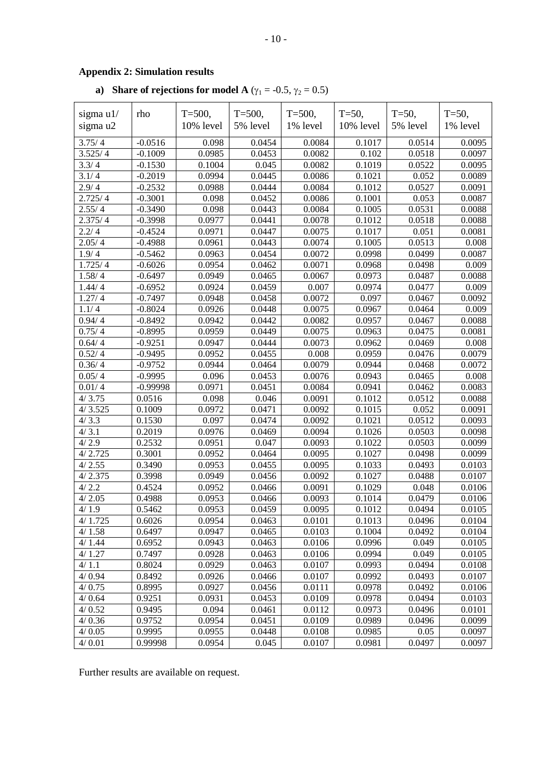# **Appendix 2: Simulation results**

# **a) Share of rejections for model A** ( $\gamma_1 = -0.5$ ,  $\gamma_2 = 0.5$ )

| sigma $u1/$ | rho        | $T = 500,$<br>10% level | $T = 500,$ | $T = 500$ ,<br>1% level | $T = 50$ ,<br>10% level | $T = 50,$<br>5% level | $T = 50$ ,<br>1% level |
|-------------|------------|-------------------------|------------|-------------------------|-------------------------|-----------------------|------------------------|
| sigma u2    |            |                         | 5% level   |                         |                         |                       |                        |
| 3.75/4      | $-0.0516$  | 0.098                   | 0.0454     | 0.0084                  | 0.1017                  | 0.0514                | 0.0095                 |
| 3.525/4     | $-0.1009$  | 0.0985                  | 0.0453     | 0.0082                  | 0.102                   | 0.0518                | 0.0097                 |
| 3.3/4       | $-0.1530$  | 0.1004                  | 0.045      | 0.0082                  | 0.1019                  | 0.0522                | 0.0095                 |
| 3.1/4       | $-0.2019$  | 0.0994                  | 0.0445     | 0.0086                  | 0.1021                  | 0.052                 | 0.0089                 |
| 2.9/4       | $-0.2532$  | 0.0988                  | 0.0444     | 0.0084                  | 0.1012                  | 0.0527                | 0.0091                 |
| 2.725/4     | $-0.3001$  | 0.098                   | 0.0452     | 0.0086                  | 0.1001                  | 0.053                 | 0.0087                 |
| 2.55/4      | $-0.3490$  | 0.098                   | 0.0443     | 0.0084                  | 0.1005                  | 0.0531                | 0.0088                 |
| 2.375/4     | $-0.3998$  | 0.0977                  | 0.0441     | 0.0078                  | 0.1012                  | 0.0518                | 0.0088                 |
| 2.2/4       | $-0.4524$  | 0.0971                  | 0.0447     | 0.0075                  | 0.1017                  | 0.051                 | 0.0081                 |
| 2.05/4      | $-0.4988$  | 0.0961                  | 0.0443     | 0.0074                  | 0.1005                  | 0.0513                | 0.008                  |
| 1.9/4       | $-0.5462$  | 0.0963                  | 0.0454     | 0.0072                  | 0.0998                  | 0.0499                | 0.0087                 |
| 1.725/4     | $-0.6026$  | 0.0954                  | 0.0462     | 0.0071                  | 0.0968                  | 0.0498                | 0.009                  |
| 1.58/4      | $-0.6497$  | 0.0949                  | 0.0465     | 0.0067                  | 0.0973                  | 0.0487                | 0.0088                 |
| 1.44/4      | $-0.6952$  | 0.0924                  | 0.0459     | 0.007                   | 0.0974                  | 0.0477                | 0.009                  |
| 1.27/4      | $-0.7497$  | 0.0948                  | 0.0458     | 0.0072                  | 0.097                   | 0.0467                | 0.0092                 |
| 1.1/4       | $-0.8024$  | 0.0926                  | 0.0448     | 0.0075                  | 0.0967                  | 0.0464                | 0.009                  |
| 0.94/4      | $-0.8492$  | 0.0942                  | 0.0442     | 0.0082                  | 0.0957                  | 0.0467                | 0.0088                 |
| 0.75/4      | $-0.8995$  | 0.0959                  | 0.0449     | 0.0075                  | 0.0963                  | 0.0475                | 0.0081                 |
| 0.64/4      | $-0.9251$  | 0.0947                  | 0.0444     | 0.0073                  | 0.0962                  | 0.0469                | 0.008                  |
| 0.52/4      | $-0.9495$  | 0.0952                  | 0.0455     | 0.008                   | 0.0959                  | 0.0476                | 0.0079                 |
| 0.36/4      | $-0.9752$  | 0.0944                  | 0.0464     | 0.0079                  | 0.0944                  | 0.0468                | 0.0072                 |
| 0.05/4      | $-0.9995$  | 0.096                   | 0.0453     | 0.0076                  | 0.0943                  | 0.0465                | 0.008                  |
| 0.01/4      | $-0.99998$ | 0.0971                  | 0.0451     | 0.0084                  | 0.0941                  | 0.0462                | 0.0083                 |
| 4/3.75      | 0.0516     | 0.098                   | 0.046      | 0.0091                  | 0.1012                  | 0.0512                | 0.0088                 |
| 4/3.525     | 0.1009     | 0.0972                  | 0.0471     | 0.0092                  | 0.1015                  | 0.052                 | 0.0091                 |
| 4/3.3       | 0.1530     | 0.097                   | 0.0474     | 0.0092                  | 0.1021                  | 0.0512                | 0.0093                 |
| 4/3.1       | 0.2019     | 0.0976                  | 0.0469     | 0.0094                  | 0.1026                  | 0.0503                | 0.0098                 |
| 4/2.9       | 0.2532     | 0.0951                  | 0.047      | 0.0093                  | 0.1022                  | 0.0503                | 0.0099                 |
| 4/2.725     | 0.3001     | 0.0952                  | 0.0464     | 0.0095                  | 0.1027                  | 0.0498                | 0.0099                 |
| 4/2.55      | 0.3490     | 0.0953                  | 0.0455     | 0.0095                  | 0.1033                  | 0.0493                | 0.0103                 |
| 4/2.375     | 0.3998     | 0.0949                  | 0.0456     | 0.0092                  | 0.1027                  | 0.0488                | 0.0107                 |
| 4/2.2       | 0.4524     | 0.0952                  | 0.0466     | 0.0091                  | 0.1029                  | 0.048                 | 0.0106                 |
| 4/2.05      | 0.4988     | 0.0953                  | 0.0466     | 0.0093                  | 0.1014                  | 0.0479                | 0.0106                 |
| 4/1.9       | 0.5462     | 0.0953                  | 0.0459     | 0.0095                  | 0.1012                  | 0.0494                | 0.0105                 |
| 4/1.725     | 0.6026     | 0.0954                  | 0.0463     | 0.0101                  | 0.1013                  | 0.0496                | 0.0104                 |
| 4/1.58      | 0.6497     | 0.0947                  | 0.0465     | 0.0103                  | 0.1004                  | 0.0492                | 0.0104                 |
| 4/1.44      | 0.6952     | 0.0943                  | 0.0463     | 0.0106                  | 0.0996                  | 0.049                 | 0.0105                 |
| 4/1.27      | 0.7497     | 0.0928                  | 0.0463     | 0.0106                  | 0.0994                  | 0.049                 | 0.0105                 |
| 4/1.1       | 0.8024     | 0.0929                  | 0.0463     | 0.0107                  | 0.0993                  | 0.0494                | 0.0108                 |
| 4/0.94      | 0.8492     | 0.0926                  | 0.0466     | 0.0107                  | 0.0992                  | 0.0493                | 0.0107                 |
| 4/0.75      | 0.8995     | 0.0927                  | 0.0456     | 0.0111                  | 0.0978                  | 0.0492                | 0.0106                 |
| 4/0.64      | 0.9251     | 0.0931                  | 0.0453     | 0.0109                  | 0.0978                  | 0.0494                | 0.0103                 |
| 4/0.52      | 0.9495     | 0.094                   | 0.0461     | 0.0112                  | 0.0973                  | 0.0496                | 0.0101                 |
| 4/0.36      | 0.9752     | 0.0954                  | 0.0451     | 0.0109                  | 0.0989                  | 0.0496                | 0.0099                 |
| 4/0.05      | 0.9995     | 0.0955                  | 0.0448     | 0.0108                  | 0.0985                  | 0.05                  | 0.0097                 |
| 4/0.01      | 0.99998    | 0.0954                  | 0.045      | 0.0107                  | 0.0981                  | 0.0497                | 0.0097                 |

Further results are available on request.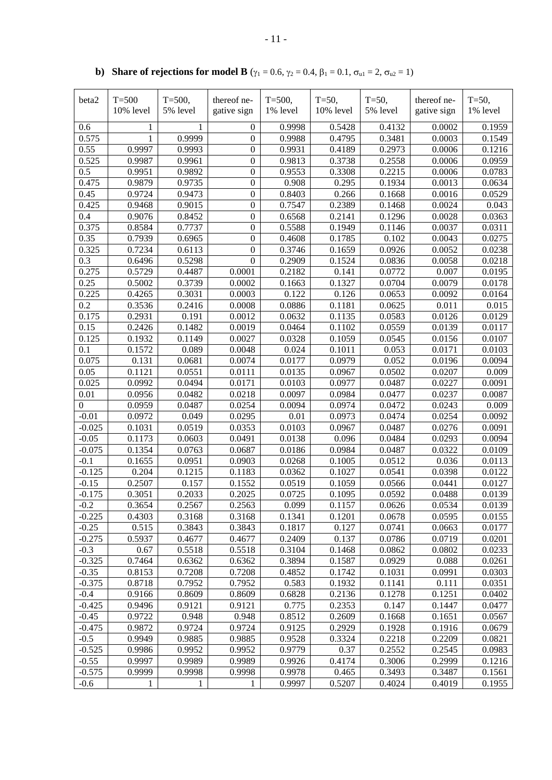| beta2          | $T=500$   | $T = 500$ ,         | thereof ne-      | $T = 500$ , | $T = 50,$ | $T = 50$ , | thereof ne- | $T = 50,$ |
|----------------|-----------|---------------------|------------------|-------------|-----------|------------|-------------|-----------|
|                | 10% level | 5% level            | gative sign      | 1% level    | 10% level | 5% level   | gative sign | 1% level  |
|                |           |                     |                  |             |           |            |             |           |
| 0.6            | 1         |                     | 0                | 0.9998      | 0.5428    | 0.4132     | 0.0002      | 0.1959    |
| 0.575          | 1         | $\overline{0.9999}$ | $\boldsymbol{0}$ | 0.9988      | 0.4795    | 0.3481     | 0.0003      | 0.1549    |
| 0.55           | 0.9997    | 0.9993              | $\boldsymbol{0}$ | 0.9931      | 0.4189    | 0.2973     | 0.0006      | 0.1216    |
| 0.525          | 0.9987    | 0.9961              | $\boldsymbol{0}$ | 0.9813      | 0.3738    | 0.2558     | 0.0006      | 0.0959    |
| 0.5            | 0.9951    | 0.9892              | $\boldsymbol{0}$ | 0.9553      | 0.3308    | 0.2215     | 0.0006      | 0.0783    |
| 0.475          | 0.9879    | 0.9735              | $\boldsymbol{0}$ | 0.908       | 0.295     | 0.1934     | 0.0013      | 0.0634    |
| 0.45           | 0.9724    | 0.9473              | $\boldsymbol{0}$ | 0.8403      | 0.266     | 0.1668     | 0.0016      | 0.0529    |
| 0.425          | 0.9468    | 0.9015              | $\boldsymbol{0}$ | 0.7547      | 0.2389    | 0.1468     | 0.0024      | 0.043     |
| 0.4            | 0.9076    | 0.8452              | $\boldsymbol{0}$ | 0.6568      | 0.2141    | 0.1296     | 0.0028      | 0.0363    |
| 0.375          | 0.8584    | 0.7737              | $\boldsymbol{0}$ | 0.5588      | 0.1949    | 0.1146     | 0.0037      | 0.0311    |
| 0.35           | 0.7939    | 0.6965              | $\boldsymbol{0}$ | 0.4608      | 0.1785    | 0.102      | 0.0043      | 0.0275    |
| 0.325          | 0.7234    | 0.6113              | $\boldsymbol{0}$ | 0.3746      | 0.1659    | 0.0926     | 0.0052      | 0.0238    |
| 0.3            | 0.6496    | 0.5298              | $\mathbf{0}$     | 0.2909      | 0.1524    | 0.0836     | 0.0058      | 0.0218    |
| 0.275          | 0.5729    | 0.4487              | 0.0001           | 0.2182      | 0.141     | 0.0772     | 0.007       | 0.0195    |
| 0.25           | 0.5002    | 0.3739              | 0.0002           | 0.1663      | 0.1327    | 0.0704     | 0.0079      | 0.0178    |
| 0.225          | 0.4265    | 0.3031              | 0.0003           | 0.122       | 0.126     | 0.0653     | 0.0092      | 0.0164    |
| 0.2            | 0.3536    | 0.2416              | 0.0008           | 0.0886      | 0.1181    | 0.0625     | 0.011       | 0.015     |
| 0.175          | 0.2931    | 0.191               | 0.0012           | 0.0632      | 0.1135    | 0.0583     | 0.0126      | 0.0129    |
| 0.15           | 0.2426    | 0.1482              | 0.0019           | 0.0464      | 0.1102    | 0.0559     | 0.0139      | 0.0117    |
| 0.125          | 0.1932    | 0.1149              | 0.0027           | 0.0328      | 0.1059    | 0.0545     | 0.0156      | 0.0107    |
| 0.1            | 0.1572    | 0.089               | 0.0048           | 0.024       | 0.1011    | 0.053      | 0.0171      | 0.0103    |
| 0.075          | 0.131     | 0.0681              | 0.0074           | 0.0177      | 0.0979    | 0.052      | 0.0196      | 0.0094    |
| 0.05           | 0.1121    | 0.0551              | 0.0111           | 0.0135      | 0.0967    | 0.0502     | 0.0207      | 0.009     |
| 0.025          | 0.0992    | 0.0494              | 0.0171           | 0.0103      | 0.0977    | 0.0487     | 0.0227      | 0.0091    |
| 0.01           | 0.0956    | 0.0482              | 0.0218           | 0.0097      | 0.0984    | 0.0477     | 0.0237      | 0.0087    |
| $\overline{0}$ | 0.0959    | 0.0487              | 0.0254           | 0.0094      | 0.0974    | 0.0472     | 0.0243      | 0.009     |
| $-0.01$        | 0.0972    | 0.049               | 0.0295           | 0.01        | 0.0973    | 0.0474     | 0.0254      | 0.0092    |
| $-0.025$       | 0.1031    | 0.0519              | 0.0353           | 0.0103      | 0.0967    | 0.0487     | 0.0276      | 0.0091    |
| $-0.05$        | 0.1173    | 0.0603              | 0.0491           | 0.0138      | 0.096     | 0.0484     | 0.0293      | 0.0094    |
| $-0.075$       | 0.1354    | 0.0763              | 0.0687           | 0.0186      | 0.0984    | 0.0487     | 0.0322      | 0.0109    |
| $-0.1$         | 0.1655    | 0.0951              | 0.0903           | 0.0268      | 0.1005    | 0.0512     | 0.036       | 0.0113    |
| $-0.125$       | 0.204     | 0.1215              | 0.1183           | 0.0362      | 0.1027    | 0.0541     | 0.0398      | 0.0122    |
| $-0.15$        | 0.2507    | 0.157               | 0.1552           | 0.0519      | 0.1059    | 0.0566     | 0.0441      | 0.0127    |
| $-0.175$       | 0.3051    | 0.2033              | 0.2025           | 0.0725      | 0.1095    | 0.0592     | 0.0488      | 0.0139    |
| $-0.2$         | 0.3654    | 0.2567              | 0.2563           | 0.099       | 0.1157    | 0.0626     | 0.0534      | 0.0139    |
| $-0.225$       | 0.4303    | 0.3168              | 0.3168           | 0.1341      | 0.1201    | 0.0678     | 0.0595      | 0.0155    |
| $-0.25$        | 0.515     | 0.3843              | 0.3843           | 0.1817      | 0.127     | 0.0741     | 0.0663      | 0.0177    |
| $-0.275$       | 0.5937    | 0.4677              | 0.4677           | 0.2409      | 0.137     | 0.0786     | 0.0719      | 0.0201    |
| $-0.3$         | 0.67      | 0.5518              | 0.5518           | 0.3104      | 0.1468    | 0.0862     | 0.0802      | 0.0233    |
| $-0.325$       | 0.7464    | 0.6362              | 0.6362           | 0.3894      | 0.1587    | 0.0929     | 0.088       | 0.0261    |
| $-0.35$        | 0.8153    | 0.7208              | 0.7208           | 0.4852      | 0.1742    | 0.1031     | 0.0991      | 0.0303    |
| $-0.375$       | 0.8718    | 0.7952              | 0.7952           | 0.583       | 0.1932    | 0.1141     | 0.111       | 0.0351    |
| $-0.4$         | 0.9166    | 0.8609              | 0.8609           | 0.6828      | 0.2136    | 0.1278     | 0.1251      | 0.0402    |
| $-0.425$       | 0.9496    | 0.9121              | 0.9121           | 0.775       | 0.2353    | 0.147      | 0.1447      | 0.0477    |
| $-0.45$        | 0.9722    | 0.948               | 0.948            | 0.8512      | 0.2609    | 0.1668     | 0.1651      | 0.0567    |
| $-0.475$       | 0.9872    | 0.9724              | 0.9724           | 0.9125      | 0.2929    | 0.1928     | 0.1916      | 0.0679    |
| $-0.5$         | 0.9949    | 0.9885              | 0.9885           | 0.9528      | 0.3324    | 0.2218     | 0.2209      | 0.0821    |
| $-0.525$       | 0.9986    | 0.9952              | 0.9952           | 0.9779      | 0.37      | 0.2552     | 0.2545      | 0.0983    |
| $-0.55$        | 0.9997    | 0.9989              | 0.9989           | 0.9926      | 0.4174    | 0.3006     | 0.2999      | 0.1216    |
| $-0.575$       | 0.9999    | 0.9998              | 0.9998           | 0.9978      | 0.465     | 0.3493     | 0.3487      | 0.1561    |
| $-0.6$         | 1         | 1                   | 1                | 0.9997      | 0.5207    | 0.4024     | 0.4019      | 0.1955    |
|                |           |                     |                  |             |           |            |             |           |

**b) Share of rejections for model <b>B** ( $\gamma_1 = 0.6$ ,  $\gamma_2 = 0.4$ ,  $\beta_1 = 0.1$ ,  $\sigma_{u1} = 2$ ,  $\sigma_{u2} = 1$ )